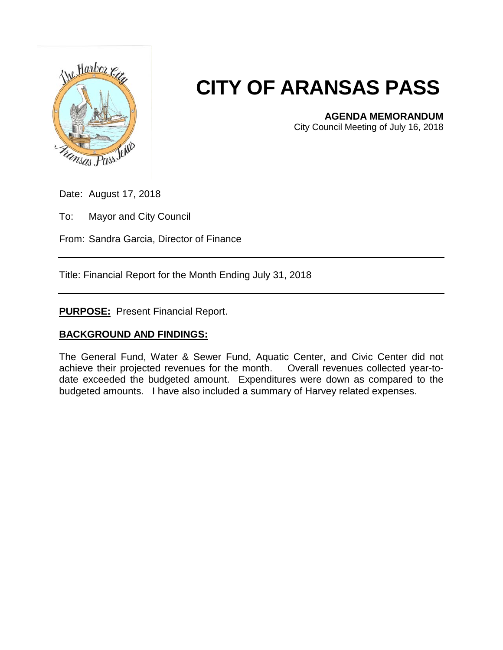

## **CITY OF ARANSAS PASS**

**AGENDA MEMORANDUM**

City Council Meeting of July 16, 2018

Date: August 17, 2018

To: Mayor and City Council

From: Sandra Garcia, Director of Finance

Title: Financial Report for the Month Ending July 31, 2018

**PURPOSE:** Present Financial Report.

## **BACKGROUND AND FINDINGS:**

The General Fund, Water & Sewer Fund, Aquatic Center, and Civic Center did not achieve their projected revenues for the month. Overall revenues collected year-todate exceeded the budgeted amount. Expenditures were down as compared to the budgeted amounts. I have also included a summary of Harvey related expenses.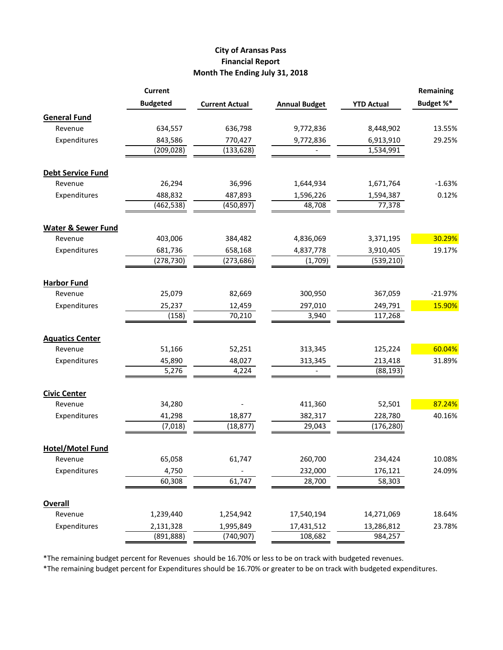## **City of Aransas Pass Financial Report Month The Ending July 31, 2018**

|                               | <b>Current</b>  |                       |                          |                   | Remaining |
|-------------------------------|-----------------|-----------------------|--------------------------|-------------------|-----------|
|                               | <b>Budgeted</b> | <b>Current Actual</b> | <b>Annual Budget</b>     | <b>YTD Actual</b> | Budget %* |
| <b>General Fund</b>           |                 |                       |                          |                   |           |
| Revenue                       | 634,557         | 636,798               | 9,772,836                | 8,448,902         | 13.55%    |
| Expenditures                  | 843,586         | 770,427               | 9,772,836                | 6,913,910         | 29.25%    |
|                               | (209, 028)      | (133, 628)            |                          | 1,534,991         |           |
| <b>Debt Service Fund</b>      |                 |                       |                          |                   |           |
| Revenue                       | 26,294          | 36,996                | 1,644,934                | 1,671,764         | $-1.63%$  |
| Expenditures                  | 488,832         | 487,893               | 1,596,226                | 1,594,387         | 0.12%     |
|                               | (462, 538)      | (450, 897)            | 48,708                   | 77,378            |           |
| <b>Water &amp; Sewer Fund</b> |                 |                       |                          |                   |           |
| Revenue                       | 403,006         | 384,482               | 4,836,069                | 3,371,195         | 30.29%    |
| Expenditures                  | 681,736         | 658,168               | 4,837,778                | 3,910,405         | 19.17%    |
|                               | (278, 730)      | (273, 686)            | (1,709)                  | (539, 210)        |           |
| <b>Harbor Fund</b>            |                 |                       |                          |                   |           |
| Revenue                       | 25,079          | 82,669                | 300,950                  | 367,059           | $-21.97%$ |
| Expenditures                  | 25,237          | 12,459                | 297,010                  | 249,791           | 15.90%    |
|                               | (158)           | 70,210                | 3,940                    | 117,268           |           |
| <b>Aquatics Center</b>        |                 |                       |                          |                   |           |
| Revenue                       | 51,166          | 52,251                | 313,345                  | 125,224           | 60.04%    |
| Expenditures                  | 45,890          | 48,027                | 313,345                  | 213,418           | 31.89%    |
|                               | 5,276           | 4,224                 | $\overline{\phantom{a}}$ | (88, 193)         |           |
| <b>Civic Center</b>           |                 |                       |                          |                   |           |
| Revenue                       | 34,280          |                       | 411,360                  | 52,501            | 87.24%    |
| Expenditures                  | 41,298          | 18,877                | 382,317                  | 228,780           | 40.16%    |
|                               | (7,018)         | (18, 877)             | 29,043                   | (176, 280)        |           |
| <b>Hotel/Motel Fund</b>       |                 |                       |                          |                   |           |
| Revenue                       | 65,058          | 61,747                | 260,700                  | 234,424           | 10.08%    |
| Expenditures                  | 4,750           |                       | 232,000                  | 176,121           | 24.09%    |
|                               | 60,308          | 61,747                | 28,700                   | 58,303            |           |
| <b>Overall</b>                |                 |                       |                          |                   |           |
| Revenue                       | 1,239,440       | 1,254,942             | 17,540,194               | 14,271,069        | 18.64%    |
| Expenditures                  | 2,131,328       | 1,995,849             | 17,431,512               | 13,286,812        | 23.78%    |
|                               | (891, 888)      | (740, 907)            | 108,682                  | 984,257           |           |

\*The remaining budget percent for Revenues should be 16.70% or less to be on track with budgeted revenues.

\*The remaining budget percent for Expenditures should be 16.70% or greater to be on track with budgeted expenditures.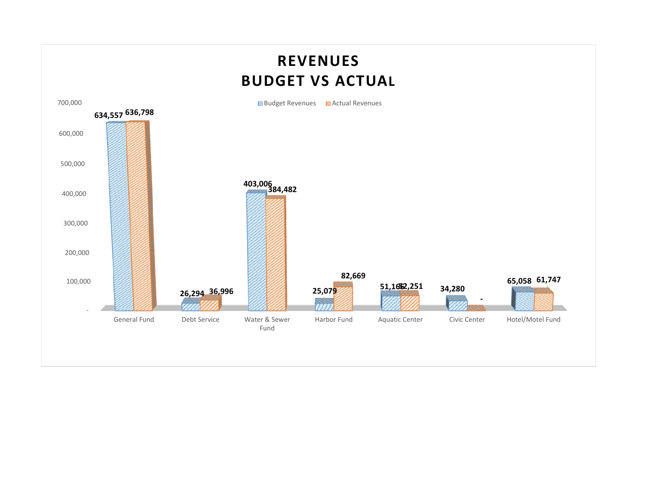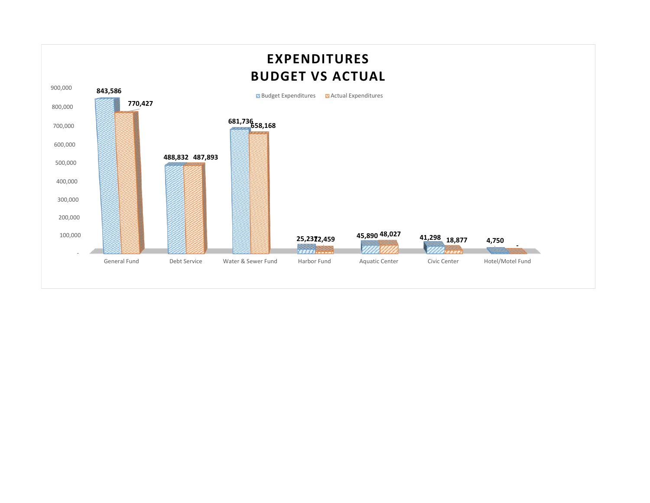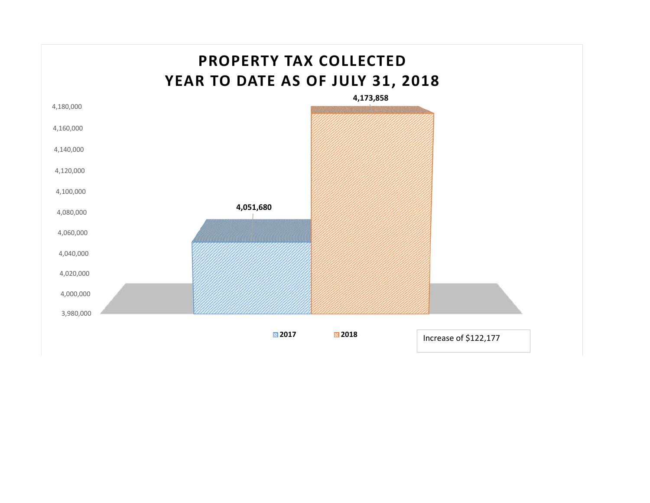